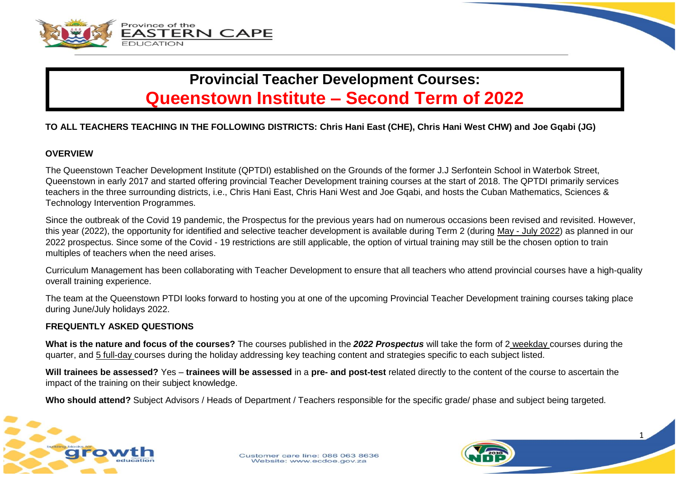



## **Provincial Teacher Development Courses: Queenstown Institute – Second Term of 2022**

## **TO ALL TEACHERS TEACHING IN THE FOLLOWING DISTRICTS: Chris Hani East (CHE), Chris Hani West CHW) and Joe Gqabi (JG)**

#### **OVERVIEW**

The Queenstown Teacher Development Institute (QPTDI) established on the Grounds of the former J.J Serfontein School in Waterbok Street, Queenstown in early 2017 and started offering provincial Teacher Development training courses at the start of 2018. The QPTDI primarily services teachers in the three surrounding districts, i.e., Chris Hani East, Chris Hani West and Joe Gqabi, and hosts the Cuban Mathematics, Sciences & Technology Intervention Programmes.

Since the outbreak of the Covid 19 pandemic, the Prospectus for the previous years had on numerous occasions been revised and revisited. However, this year (2022), the opportunity for identified and selective teacher development is available during Term 2 (during May - July 2022) as planned in our 2022 prospectus. Since some of the Covid - 19 restrictions are still applicable, the option of virtual training may still be the chosen option to train multiples of teachers when the need arises.

Curriculum Management has been collaborating with Teacher Development to ensure that all teachers who attend provincial courses have a high-quality overall training experience.

The team at the Queenstown PTDI looks forward to hosting you at one of the upcoming Provincial Teacher Development training courses taking place during June/July holidays 2022.

### **FREQUENTLY ASKED QUESTIONS**

**What is the nature and focus of the courses?** The courses published in the *2022 Prospectus* will take the form of 2 weekday courses during the quarter, and 5 full-day courses during the holiday addressing key teaching content and strategies specific to each subject listed.

**Will trainees be assessed?** Yes – **trainees will be assessed** in a **pre- and post-test** related directly to the content of the course to ascertain the impact of the training on their subject knowledge.

**Who should attend?** Subject Advisors / Heads of Department / Teachers responsible for the specific grade/ phase and subject being targeted.



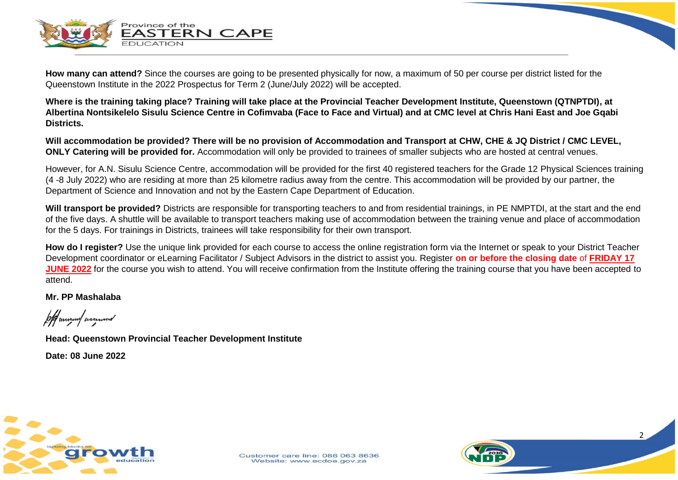

**How many can attend?** Since the courses are going to be presented physically for now, a maximum of 50 per course per district listed for the Queenstown Institute in the 2022 Prospectus for Term 2 (June/July 2022) will be accepted.

**Where is the training taking place? Training will take place at the Provincial Teacher Development Institute, Queenstown (QTNPTDI), at Albertina Nontsikelelo Sisulu Science Centre in Cofimvaba (Face to Face and Virtual) and at CMC level at Chris Hani East and Joe Gqabi Districts.**

**Will accommodation be provided? There will be no provision of Accommodation and Transport at CHW, CHE & JQ District / CMC LEVEL, ONLY Catering will be provided for.** Accommodation will only be provided to trainees of smaller subjects who are hosted at central venues.

However, for A.N. Sisulu Science Centre, accommodation will be provided for the first 40 registered teachers for the Grade 12 Physical Sciences training (4 -8 July 2022) who are residing at more than 25 kilometre radius away from the centre. This accommodation will be provided by our partner, the Department of Science and Innovation and not by the Eastern Cape Department of Education.

**Will transport be provided?** Districts are responsible for transporting teachers to and from residential trainings, in PE NMPTDI, at the start and the end of the five days. A shuttle will be available to transport teachers making use of accommodation between the training venue and place of accommodation for the 5 days. For trainings in Districts, trainees will take responsibility for their own transport.

**How do I register?** Use the unique link provided for each course to access the online registration form via the Internet or speak to your District Teacher Development coordinator or eLearning Facilitator / Subject Advisors in the district to assist you. Register **on or before the closing date** of **FRIDAY 17 JUNE 2022** for the course you wish to attend. You will receive confirmation from the Institute offering the training course that you have been accepted to attend.

2

**Mr. PP Mashalaba**

following annual

**Head: Queenstown Provincial Teacher Development Institute**

**Date: 08 June 2022**

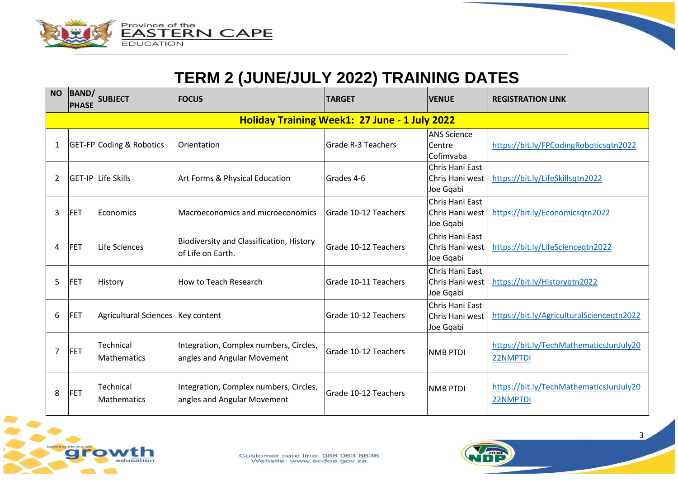



# **TERM 2 (JUNE/JULY 2022) TRAINING DATES**

| <b>NO</b>      | BAND/<br><b>PHASE</b>                         | <b>SUBJECT</b>                      | <b>FOCUS</b>                                                          | <b>TARGET</b>               | <b>VENUE</b>                                     | <b>REGISTRATION LINK</b>                            |  |  |
|----------------|-----------------------------------------------|-------------------------------------|-----------------------------------------------------------------------|-----------------------------|--------------------------------------------------|-----------------------------------------------------|--|--|
|                | Holiday Training Week1: 27 June - 1 July 2022 |                                     |                                                                       |                             |                                                  |                                                     |  |  |
|                |                                               | GET-FP Coding & Robotics            | Orientation                                                           | Grade R-3 Teachers          | <b>ANS Science</b><br>Centre<br>Cofimvaba        | https://bit.ly/FPCodingRoboticsqtn2022              |  |  |
| 2              |                                               | GET-IP Life Skills                  | Art Forms & Physical Education                                        | Grades 4-6                  | Chris Hani East<br>Chris Hani west<br>Joe Gqabi  | https://bit.ly/LifeSkillsqtn2022                    |  |  |
| 3              | FET                                           | <b>IEconomics</b>                   | Macroeconomics and microeconomics                                     | <b>Grade 10-12 Teachers</b> | lChris Hani East<br>Chris Hani west<br>Joe Gqabi | https://bit.ly/Economicsqtn2022                     |  |  |
| 4              | FET                                           | Life Sciences                       | <b>Biodiversity and Classification, History</b><br>of Life on Earth.  | Grade 10-12 Teachers        | Chris Hani East<br>Chris Hani west<br>Joe Gqabi  | https://bit.ly/LifeScienceqtn2022                   |  |  |
| 5              | FET                                           | <b>History</b>                      | How to Teach Research                                                 | lGrade 10-11 Teachers       | Chris Hani East<br>Chris Hani west<br>Joe Gqabi  | https://bit.ly/Historyqtn2022                       |  |  |
| 6              | FET                                           | Agricultural Sciences   Key content |                                                                       | Grade 10-12 Teachers        | lChris Hani East<br>Chris Hani west<br>Joe Gqabi | https://bit.ly/AgriculturalScienceqtn2022           |  |  |
| $\overline{7}$ | FET                                           | Technical<br>Mathematics            | Integration, Complex numbers, Circles,<br>angles and Angular Movement | lGrade 10-12 Teachers       | <b>NMB PTDI</b>                                  | https://bit.ly/TechMathematicsJunJuly20<br>22NMPTDI |  |  |
| 8              | FET                                           | Technical<br><b>Mathematics</b>     | Integration, Complex numbers, Circles,<br>angles and Angular Movement | Grade 10-12 Teachers        | <b>NMB PTDI</b>                                  | https://bit.ly/TechMathematicsJunJuly20<br>22NMPTDI |  |  |



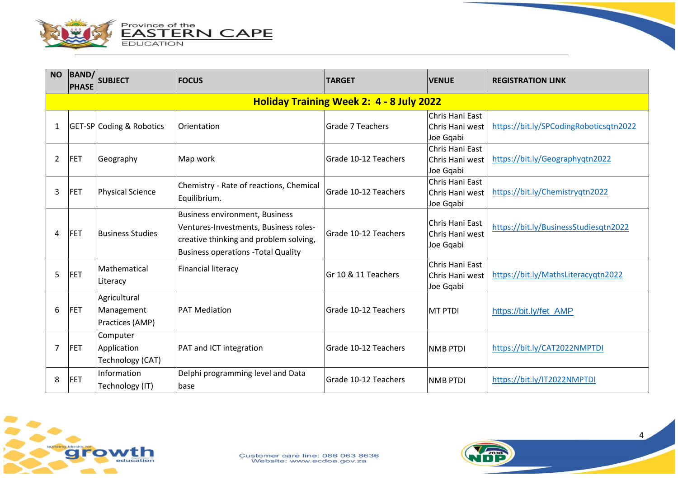

| <b>NO</b>      | BAND/<br><b>PHASE</b>                    | <b>SUBJECT</b>                                | <b>FOCUS</b>                                                                                                                                                           | <b>TARGET</b>        | <b>VENUE</b>                                    | <b>REGISTRATION LINK</b>               |  |  |  |
|----------------|------------------------------------------|-----------------------------------------------|------------------------------------------------------------------------------------------------------------------------------------------------------------------------|----------------------|-------------------------------------------------|----------------------------------------|--|--|--|
|                | Holiday Training Week 2: 4 - 8 July 2022 |                                               |                                                                                                                                                                        |                      |                                                 |                                        |  |  |  |
|                |                                          | <b>GET-SP</b> Coding & Robotics               | Orientation                                                                                                                                                            | Grade 7 Teachers     | Chris Hani East<br>Chris Hani west<br>Joe Gqabi | https://bit.ly/SPCodingRoboticsqtn2022 |  |  |  |
| $\overline{2}$ | FET                                      | Geography                                     | Map work                                                                                                                                                               | Grade 10-12 Teachers | Chris Hani East<br>Chris Hani west<br>Joe Gqabi | https://bit.ly/Geographyqtn2022        |  |  |  |
| 3              | FET                                      | <b>Physical Science</b>                       | Chemistry - Rate of reactions, Chemical<br>Equilibrium.                                                                                                                | Grade 10-12 Teachers | Chris Hani East<br>Chris Hani west<br>Joe Gqabi | https://bit.ly/Chemistryqtn2022        |  |  |  |
| 4              | <b>IFET</b>                              | <b>Business Studies</b>                       | <b>Business environment, Business</b><br>Ventures-Investments, Business roles-<br>creative thinking and problem solving,<br><b>Business operations - Total Quality</b> | Grade 10-12 Teachers | Chris Hani East<br>Chris Hani west<br>Joe Gqabi | https://bit.ly/BusinessStudiesqtn2022  |  |  |  |
| 5              | FET                                      | Mathematical<br>Literacy                      | <b>Financial literacy</b>                                                                                                                                              | Gr 10 & 11 Teachers  | Chris Hani East<br>Chris Hani west<br>Joe Gqabi | https://bit.ly/MathsLiteracyqtn2022    |  |  |  |
| 6              | <b>FET</b>                               | Agricultural<br>Management<br>Practices (AMP) | <b>PAT Mediation</b>                                                                                                                                                   | Grade 10-12 Teachers | <b>MT PTDI</b>                                  | https://bit.ly/fet_AMP                 |  |  |  |
| 7              | FET                                      | Computer<br>Application<br>Technology (CAT)   | PAT and ICT integration                                                                                                                                                | Grade 10-12 Teachers | <b>NMB PTDI</b>                                 | https://bit.ly/CAT2022NMPTDI           |  |  |  |
| 8              | FET                                      | Information<br>Technology (IT)                | Delphi programming level and Data<br>base                                                                                                                              | Grade 10-12 Teachers | <b>NMB PTDI</b>                                 | https://bit.ly/IT2022NMPTDI            |  |  |  |



 $\Delta$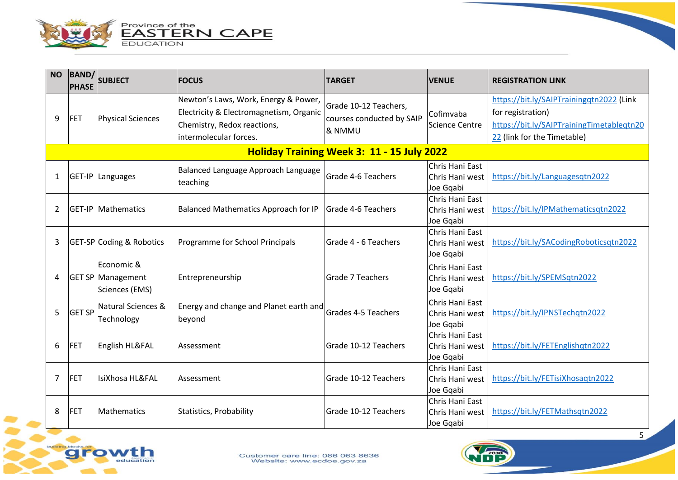

| <b>NO</b> | <b>BAND/</b><br><b>PHASE</b>                                                                        | <b>SUBJECT</b>                                           | <b>FOCUS</b>                                                                                                   | <b>TARGET</b>                                                | <b>VENUE</b>                                     | <b>REGISTRATION LINK</b>                                                                                   |  |
|-----------|-----------------------------------------------------------------------------------------------------|----------------------------------------------------------|----------------------------------------------------------------------------------------------------------------|--------------------------------------------------------------|--------------------------------------------------|------------------------------------------------------------------------------------------------------------|--|
| 9         | FET                                                                                                 | Physical Sciences                                        | Newton's Laws, Work, Energy & Power,<br>Electricity & Electromagnetism, Organic<br>Chemistry, Redox reactions, | Grade 10-12 Teachers,<br>courses conducted by SAIP<br>& NMMU | Cofimvaba<br>Science Centre                      | https://bit.ly/SAIPTrainingqtn2022 (Link<br>for registration)<br>https://bit.ly/SAIPTrainingTimetableqtn20 |  |
|           | intermolecular forces.<br>22 (link for the Timetable)<br>Holiday Training Week 3: 11 - 15 July 2022 |                                                          |                                                                                                                |                                                              |                                                  |                                                                                                            |  |
| 1         |                                                                                                     | GET-IP Languages                                         | Balanced Language Approach Language<br>teaching                                                                | Grade 4-6 Teachers                                           | Chris Hani East<br>Chris Hani west<br>Joe Gqabi  | https://bit.ly/Languagesqtn2022                                                                            |  |
| 2         |                                                                                                     | <b>GET-IP Mathematics</b>                                | Balanced Mathematics Approach for IP                                                                           | Grade 4-6 Teachers                                           | Chris Hani East<br>Chris Hani west<br>Joe Gqabi  | https://bit.ly/IPMathematicsqtn2022                                                                        |  |
| 3         |                                                                                                     | GET-SP Coding & Robotics                                 | Programme for School Principals                                                                                | Grade 4 - 6 Teachers                                         | Chris Hani East<br>Chris Hani west<br>Joe Gqabi  | https://bit.ly/SACodingRoboticsqtn2022                                                                     |  |
| 4         |                                                                                                     | Economic &<br><b>GET SP Management</b><br>Sciences (EMS) | Entrepreneurship                                                                                               | Grade 7 Teachers                                             | lChris Hani East<br>Chris Hani west<br>Joe Gqabi | https://bit.ly/SPEMSqtn2022                                                                                |  |
| 5         | <b>GET SP</b>                                                                                       | Natural Sciences &<br>Technology                         | Energy and change and Planet earth and<br>beyond                                                               | <b>Grades 4-5 Teachers</b>                                   | Chris Hani East<br>Chris Hani west<br>Joe Gqabi  | https://bit.ly/IPNSTechqtn2022                                                                             |  |
| 6         | FET                                                                                                 | <b>English HL&amp;FAL</b>                                | Assessment                                                                                                     | Grade 10-12 Teachers                                         | Chris Hani East<br>Chris Hani west<br>Joe Gqabi  | https://bit.ly/FETEnglishqtn2022                                                                           |  |
| 7         | FET                                                                                                 | IsiXhosa HL&FAL                                          | Assessment                                                                                                     | Grade 10-12 Teachers                                         | Chris Hani East<br>Chris Hani west<br>Joe Gqabi  | https://bit.ly/FETisiXhosaqtn2022                                                                          |  |
| 8         | FET                                                                                                 | Mathematics                                              | <b>Statistics, Probability</b>                                                                                 | Grade 10-12 Teachers                                         | Chris Hani East<br>Chris Hani west<br>Joe Gqabi  | https://bit.ly/FETMathsqtn2022                                                                             |  |